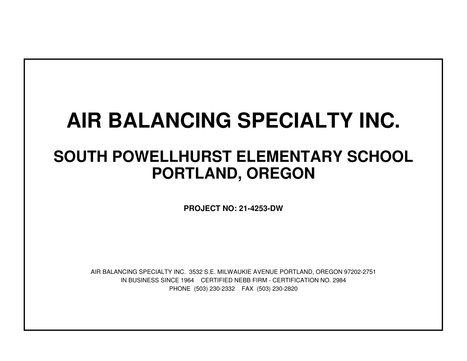# **AIR BALANCING SPECIALTY INC.**

## **SOUTH POWELLHURST ELEMENTARY SCHOOLPORTLAND, OREGON**

**PROJECT NO: 21-4253-DW**

IN BUSINESS SINCE 1964 CERTIFIED NEBB FIRM - CERTIFICATION NO. 2984PHONE (503) 230-2332 FAX (503) 230-2820AIR BALANCING SPECIALTY INC. 3532 S.E. MILWAUKIE AVENUE PORTLAND, OREGON 97202-2751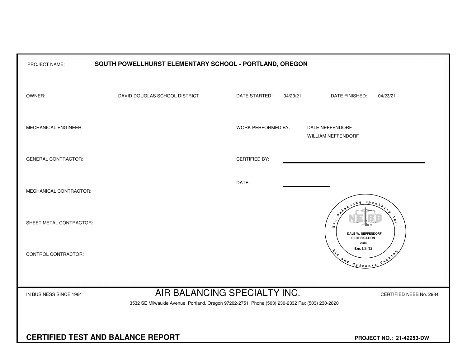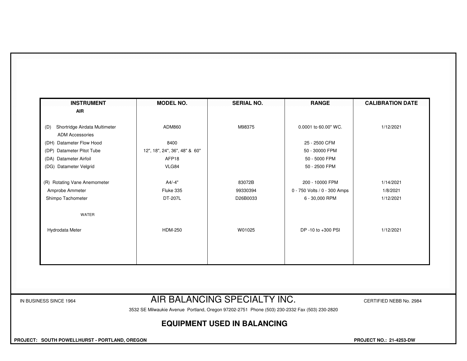| <b>INSTRUMENT</b>                                              | <b>MODEL NO.</b>              | <b>SERIAL NO.</b> | <b>RANGE</b>                 | <b>CALIBRATION DATE</b> |
|----------------------------------------------------------------|-------------------------------|-------------------|------------------------------|-------------------------|
| <b>AIR</b>                                                     |                               |                   |                              |                         |
| Shortridge Airdata Multimeter<br>(D)<br><b>ADM Accessories</b> | ADM860                        | M98375            | 0.0001 to 60.00" WC.         | 1/12/2021               |
| (DH) Datameter Flow Hood                                       | 8400                          |                   | 25 - 2500 CFM                |                         |
| (DP) Datameter Pitot Tube                                      | 12", 18", 24", 36", 48" & 60" |                   | 50 - 30000 FPM               |                         |
| (DA) Datameter Airfoil                                         | AFP18                         |                   | 50 - 5000 FPM                |                         |
| (DG) Datameter Velgrid                                         | VLG84                         |                   | 50 - 2500 FPM                |                         |
| (R) Rotating Vane Anemometer                                   | A4/-4"                        | 83072B            | 200 - 10000 FPM              | 1/14/2021               |
| Amprobe Ammeter                                                | Fluke 335                     | 99330394          | 0 - 750 Volts / 0 - 300 Amps | 1/8/2021                |
| Shimpo Tachometer                                              | DT-207L                       | D26B0033          | 6 - 30,000 RPM               | 1/12/2021               |
| <b>WATER</b>                                                   |                               |                   |                              |                         |
| Hydrodata Meter                                                | <b>HDM-250</b>                | W01025            | DP -10 to +300 PSI           | 1/12/2021               |
|                                                                |                               |                   |                              |                         |
|                                                                |                               |                   |                              |                         |
|                                                                |                               |                   |                              |                         |
|                                                                |                               |                   |                              |                         |

#### IN BUSINESS SINCE 1964 **AIR BALANCING SPECIAL I Y INC.** CERTIFIED NEBB No. 2984

3532 SE Milwaukie Avenue Portland, Oregon 97202-2751 Phone (503) 230-2332 Fax (503) 230-2820

### **EQUIPMENT USED IN BALANCING**

 **PROJECT: SOUTH POWELLHURST - PORTLAND, OREGON PROJECT NO.: 21-4253-DW**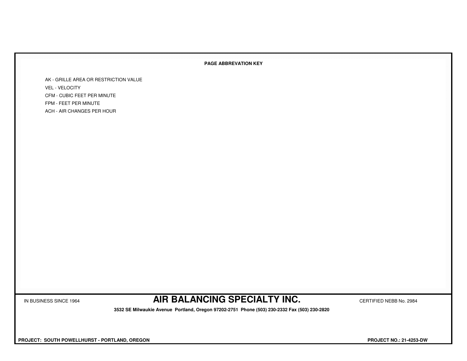#### **PAGE ABBREVATION KEY**

AK - GRILLE AREA OR RESTRICTION VALUEVEL - VELOCITY CFM - CUBIC FEET PER MINUTEFPM - FEET PER MINUTEACH - AIR CHANGES PER HOUR

IN BUSINESS SINCE 1964 **AIR BALANCING SPECIALTY INC.** CERTIFIED NEBB No. 2984

 **3532 SE Milwaukie Avenue Portland, Oregon 97202-2751 Phone (503) 230-2332 Fax (503) 230-2820**

 **PROJECT: SOUTH POWELLHURST - PORTLAND, OREGON PROJECT NO.: 21-4253-DW**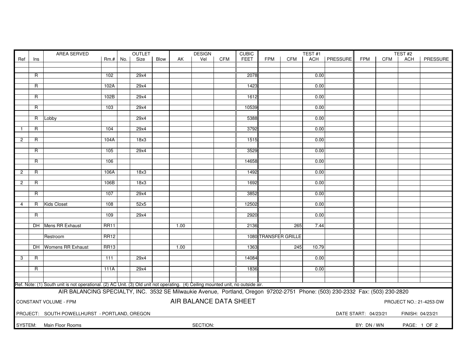|                                                                                                                               |                                                                                           | AREA SERVED                                                                                                                      |             | OUTLET |      | <b>DESIGN</b> |      |          | <b>CUBIC</b> |             |            | TEST#1               |       |                 |             | TEST#2     |            |              |
|-------------------------------------------------------------------------------------------------------------------------------|-------------------------------------------------------------------------------------------|----------------------------------------------------------------------------------------------------------------------------------|-------------|--------|------|---------------|------|----------|--------------|-------------|------------|----------------------|-------|-----------------|-------------|------------|------------|--------------|
| Ref                                                                                                                           | Ins                                                                                       |                                                                                                                                  | $Rm.+$      | No.    | Size | Blow          | AK   | Vel      | <b>CFM</b>   | <b>FEET</b> | <b>FPM</b> | <b>CFM</b>           | ACH   | <b>PRESSURE</b> | <b>FPM</b>  | <b>CFM</b> | <b>ACH</b> | PRESSURE     |
|                                                                                                                               |                                                                                           |                                                                                                                                  |             |        |      |               |      |          |              |             |            |                      |       |                 |             |            |            |              |
|                                                                                                                               | R                                                                                         |                                                                                                                                  | 102         |        | 29x4 |               |      |          |              | 2078        |            |                      | 0.00  |                 |             |            |            |              |
|                                                                                                                               |                                                                                           |                                                                                                                                  |             |        |      |               |      |          |              |             |            |                      |       |                 |             |            |            |              |
|                                                                                                                               | R                                                                                         |                                                                                                                                  | 102A        |        | 29x4 |               |      |          |              | 1423        |            |                      | 0.00  |                 |             |            |            |              |
|                                                                                                                               | R                                                                                         |                                                                                                                                  | 102B        |        | 29x4 |               |      |          |              | 1612        |            |                      | 0.00  |                 |             |            |            |              |
|                                                                                                                               |                                                                                           |                                                                                                                                  |             |        |      |               |      |          |              |             |            |                      |       |                 |             |            |            |              |
|                                                                                                                               | R                                                                                         |                                                                                                                                  | 103         |        | 29x4 |               |      |          |              | 10539       |            |                      | 0.00  |                 |             |            |            |              |
|                                                                                                                               |                                                                                           |                                                                                                                                  |             |        | 29x4 |               |      |          |              | 5388        |            |                      | 0.00  |                 |             |            |            |              |
|                                                                                                                               | R                                                                                         | Lobby                                                                                                                            |             |        |      |               |      |          |              |             |            |                      |       |                 |             |            |            |              |
|                                                                                                                               | R                                                                                         |                                                                                                                                  | 104         |        | 29x4 |               |      |          |              | 3792        |            |                      | 0.00  |                 |             |            |            |              |
|                                                                                                                               |                                                                                           |                                                                                                                                  |             |        |      |               |      |          |              |             |            |                      |       |                 |             |            |            |              |
| $\overline{2}$                                                                                                                | R                                                                                         |                                                                                                                                  | 104A        |        | 18x3 |               |      |          |              | 1515        |            |                      | 0.00  |                 |             |            |            |              |
|                                                                                                                               | R                                                                                         |                                                                                                                                  | 105         |        | 29x4 |               |      |          |              | 3529        |            |                      | 0.00  |                 |             |            |            |              |
|                                                                                                                               |                                                                                           |                                                                                                                                  |             |        |      |               |      |          |              |             |            |                      |       |                 |             |            |            |              |
|                                                                                                                               | R                                                                                         |                                                                                                                                  | 106         |        |      |               |      |          |              | 14658       |            |                      | 0.00  |                 |             |            |            |              |
| $\overline{c}$                                                                                                                | $\overline{R}$                                                                            |                                                                                                                                  | 106A        |        | 18x3 |               |      |          |              | 1492        |            |                      | 0.00  |                 |             |            |            |              |
|                                                                                                                               |                                                                                           |                                                                                                                                  |             |        |      |               |      |          |              |             |            |                      |       |                 |             |            |            |              |
| $\overline{2}$                                                                                                                | R                                                                                         |                                                                                                                                  | 106B        |        | 18x3 |               |      |          |              | 1692        |            |                      | 0.00  |                 |             |            |            |              |
|                                                                                                                               | $\overline{R}$                                                                            |                                                                                                                                  | 107         |        | 29x4 |               |      |          |              | 3852        |            |                      | 0.00  |                 |             |            |            |              |
|                                                                                                                               |                                                                                           |                                                                                                                                  |             |        |      |               |      |          |              |             |            |                      |       |                 |             |            |            |              |
| 4                                                                                                                             | $\mathsf{R}$                                                                              | <b>Kids Closet</b>                                                                                                               | 108         |        | 52x5 |               |      |          |              | 12502       |            |                      | 0.00  |                 |             |            |            |              |
|                                                                                                                               |                                                                                           |                                                                                                                                  | 109         |        | 29x4 |               |      |          |              | 2920        |            |                      | 0.00  |                 |             |            |            |              |
|                                                                                                                               | R                                                                                         |                                                                                                                                  |             |        |      |               |      |          |              |             |            |                      |       |                 |             |            |            |              |
|                                                                                                                               |                                                                                           | <b>DH</b> Mens RR Exhaust                                                                                                        | <b>RR11</b> |        |      |               | 1.00 |          |              | 2136        |            | 265                  | 7.44  |                 |             |            |            |              |
|                                                                                                                               |                                                                                           |                                                                                                                                  |             |        |      |               |      |          |              |             |            |                      |       |                 |             |            |            |              |
|                                                                                                                               |                                                                                           | Restroom                                                                                                                         | <b>RR12</b> |        |      |               |      |          |              |             |            | 1080 TRANSFER GRILLE |       |                 |             |            |            |              |
|                                                                                                                               |                                                                                           | DH Womens RR Exhaust                                                                                                             | <b>RR13</b> |        |      |               | 1.00 |          |              | 1363        |            | 245                  | 10.79 |                 |             |            |            |              |
|                                                                                                                               |                                                                                           |                                                                                                                                  |             |        |      |               |      |          |              |             |            |                      |       |                 |             |            |            |              |
| 3                                                                                                                             | R.                                                                                        |                                                                                                                                  | 111         |        | 29x4 |               |      |          |              | 14084       |            |                      | 0.00  |                 |             |            |            |              |
|                                                                                                                               | R                                                                                         |                                                                                                                                  | 111A        |        | 29x4 |               |      |          |              | 1836        |            |                      | 0.00  |                 |             |            |            |              |
|                                                                                                                               |                                                                                           |                                                                                                                                  |             |        |      |               |      |          |              |             |            |                      |       |                 |             |            |            |              |
|                                                                                                                               |                                                                                           |                                                                                                                                  |             |        |      |               |      |          |              |             |            |                      |       |                 |             |            |            |              |
|                                                                                                                               |                                                                                           | Ref. Note: (1) South unit is not operational. (2) AC Unit. (3) Old unit not operating. (4) Ceiling mounted unit, no outside air. |             |        |      |               |      |          |              |             |            |                      |       |                 |             |            |            |              |
| AIR BALANCING SPECIALTY, INC. 3532 SE Milwaukie Avenue, Portland, Oregon 97202-2751 Phone: (503) 230-2332 Fax: (503) 230-2820 |                                                                                           |                                                                                                                                  |             |        |      |               |      |          |              |             |            |                      |       |                 |             |            |            |              |
| AIR BALANCE DATA SHEET<br>CONSTANT VOLUME - FPM<br>PROJECT NO.: 21-4253-DW                                                    |                                                                                           |                                                                                                                                  |             |        |      |               |      |          |              |             |            |                      |       |                 |             |            |            |              |
|                                                                                                                               |                                                                                           |                                                                                                                                  |             |        |      |               |      |          |              |             |            |                      |       |                 |             |            |            |              |
|                                                                                                                               | PROJECT: SOUTH POWELLHURST - PORTLAND, OREGON<br>DATE START: 04/23/21<br>FINISH: 04/23/21 |                                                                                                                                  |             |        |      |               |      |          |              |             |            |                      |       |                 |             |            |            |              |
|                                                                                                                               |                                                                                           | SYSTEM: Main Floor Rooms                                                                                                         |             |        |      |               |      | SECTION: |              |             |            |                      |       |                 | BY: DN / WN |            |            | PAGE: 1 OF 2 |
|                                                                                                                               |                                                                                           |                                                                                                                                  |             |        |      |               |      |          |              |             |            |                      |       |                 |             |            |            |              |